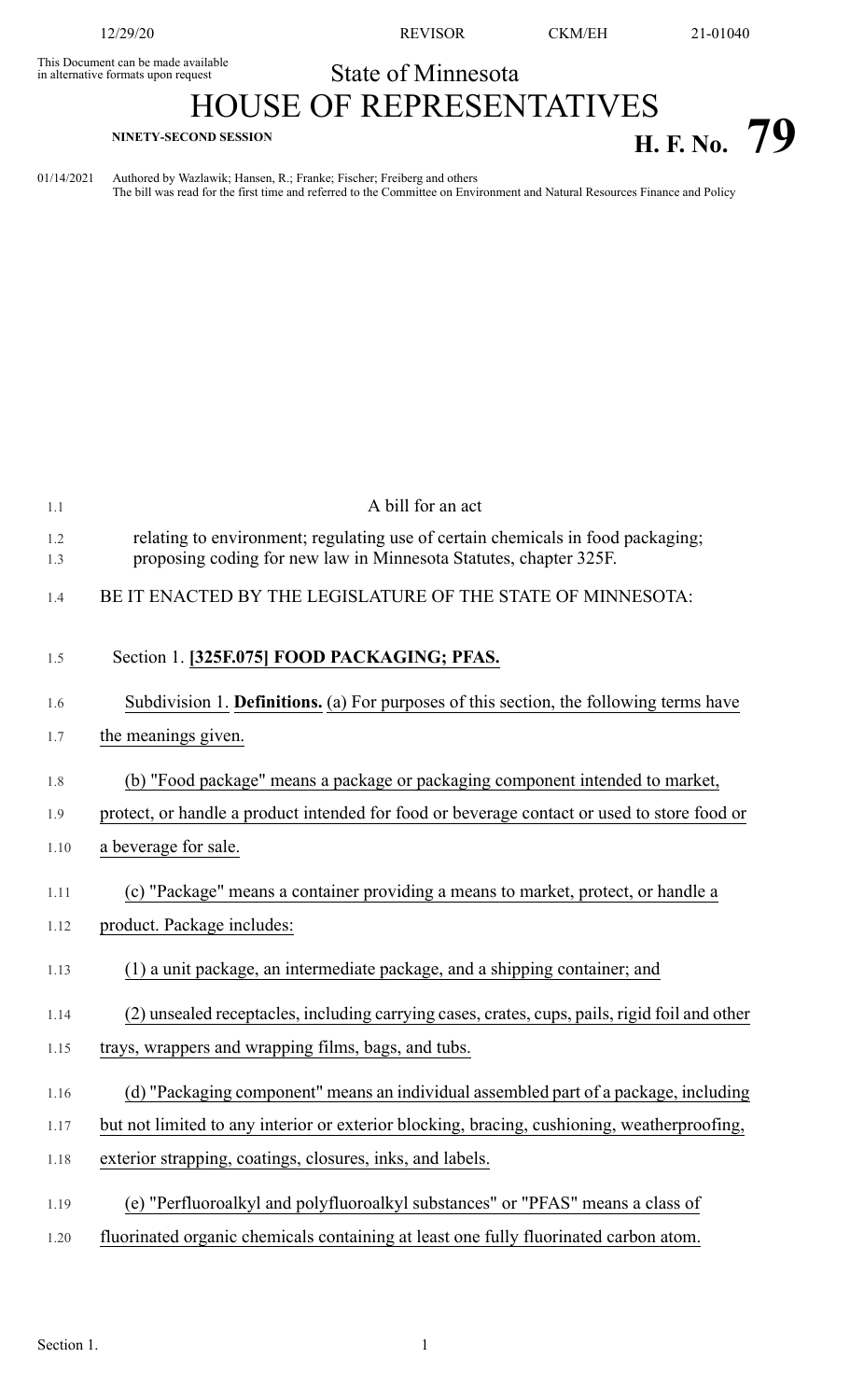This Document can be made available<br>in alternative formats upon request

12/29/20 REVISOR CKM/EH 21-01040

## State of Minnesota

## HOUSE OF REPRESENTATIVES **H. F. No.**  $79$  **H. F. No.**  $79$

01/14/2021 Authored by Wazlawik; Hansen, R.; Franke; Fischer; Freiberg and others The bill was read for the first time and referred to the Committee on Environment and Natural Resources Finance and Policy

| 1.1          | A bill for an act                                                                                                                                    |
|--------------|------------------------------------------------------------------------------------------------------------------------------------------------------|
| 1.2<br>1.3   | relating to environment; regulating use of certain chemicals in food packaging;<br>proposing coding for new law in Minnesota Statutes, chapter 325F. |
| 1.4          | BE IT ENACTED BY THE LEGISLATURE OF THE STATE OF MINNESOTA:                                                                                          |
| 1.5          | Section 1. [325F.075] FOOD PACKAGING; PFAS.                                                                                                          |
| 1.6          | Subdivision 1. Definitions. (a) For purposes of this section, the following terms have                                                               |
| 1.7          | the meanings given.                                                                                                                                  |
| 1.8          | (b) "Food package" means a package or packaging component intended to market,                                                                        |
| 1.9          | protect, or handle a product intended for food or beverage contact or used to store food or                                                          |
| 1.10         | a beverage for sale.                                                                                                                                 |
| 1.11<br>1.12 | (c) "Package" means a container providing a means to market, protect, or handle a<br>product. Package includes:                                      |
| 1.13         | (1) a unit package, an intermediate package, and a shipping container; and                                                                           |
| 1.14         | (2) unsealed receptacles, including carrying cases, crates, cups, pails, rigid foil and other                                                        |
| 1.15         | trays, wrappers and wrapping films, bags, and tubs.                                                                                                  |
| 1.16         | (d) "Packaging component" means an individual assembled part of a package, including                                                                 |
| 1.17         | but not limited to any interior or exterior blocking, bracing, cushioning, weatherproofing,                                                          |
| 1.18         | exterior strapping, coatings, closures, inks, and labels.                                                                                            |
| 1.19         | (e) "Perfluoroalkyl and polyfluoroalkyl substances" or "PFAS" means a class of                                                                       |
| 1.20         | fluorinated organic chemicals containing at least one fully fluorinated carbon atom.                                                                 |